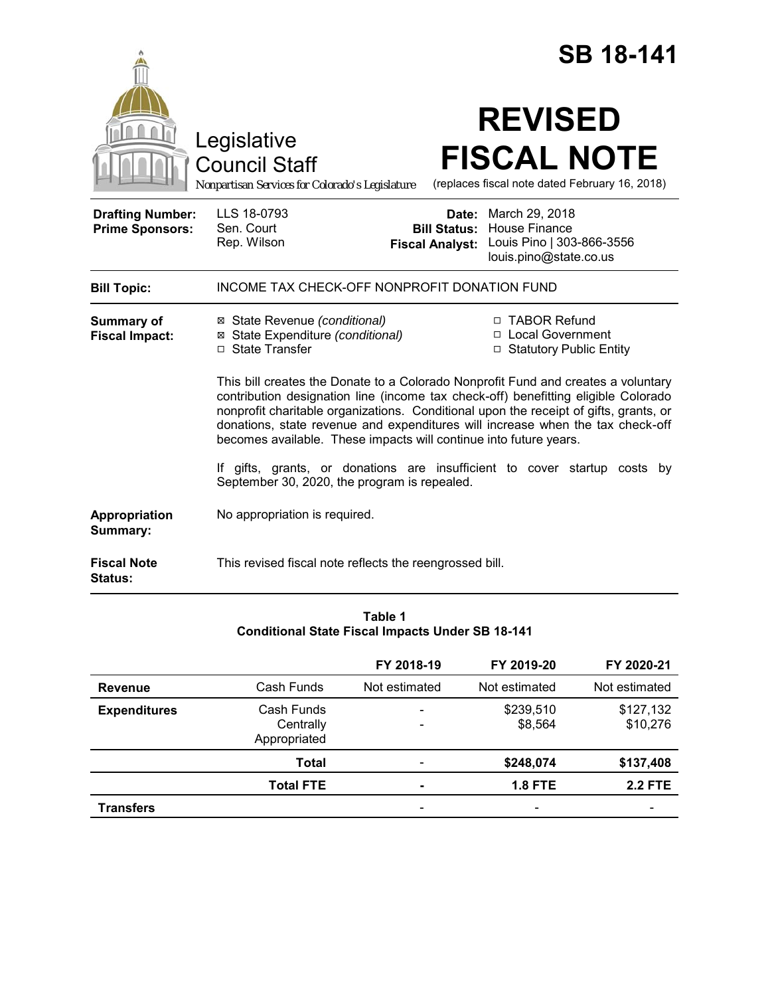|                                                   |                                                                                                                                                                                                                                                                                                                                                                                                                         | <b>SB 18-141</b>                                                                              |  |  |
|---------------------------------------------------|-------------------------------------------------------------------------------------------------------------------------------------------------------------------------------------------------------------------------------------------------------------------------------------------------------------------------------------------------------------------------------------------------------------------------|-----------------------------------------------------------------------------------------------|--|--|
|                                                   | Legislative<br><b>Council Staff</b><br>Nonpartisan Services for Colorado's Legislature                                                                                                                                                                                                                                                                                                                                  | <b>REVISED</b><br><b>FISCAL NOTE</b><br>(replaces fiscal note dated February 16, 2018)        |  |  |
| <b>Drafting Number:</b><br><b>Prime Sponsors:</b> | LLS 18-0793<br>Date:<br>Sen. Court<br><b>Bill Status:</b><br>Rep. Wilson<br><b>Fiscal Analyst:</b>                                                                                                                                                                                                                                                                                                                      | March 29, 2018<br><b>House Finance</b><br>Louis Pino   303-866-3556<br>louis.pino@state.co.us |  |  |
| <b>Bill Topic:</b>                                | INCOME TAX CHECK-OFF NONPROFIT DONATION FUND                                                                                                                                                                                                                                                                                                                                                                            |                                                                                               |  |  |
| <b>Summary of</b><br><b>Fiscal Impact:</b>        | ⊠ State Revenue (conditional)<br>⊠ State Expenditure (conditional)<br>□ State Transfer                                                                                                                                                                                                                                                                                                                                  | □ TABOR Refund<br>□ Local Government<br>□ Statutory Public Entity                             |  |  |
|                                                   | This bill creates the Donate to a Colorado Nonprofit Fund and creates a voluntary<br>contribution designation line (income tax check-off) benefitting eligible Colorado<br>nonprofit charitable organizations. Conditional upon the receipt of gifts, grants, or<br>donations, state revenue and expenditures will increase when the tax check-off<br>becomes available. These impacts will continue into future years. |                                                                                               |  |  |
|                                                   | If gifts, grants, or donations are insufficient to cover startup costs by<br>September 30, 2020, the program is repealed.                                                                                                                                                                                                                                                                                               |                                                                                               |  |  |
| Appropriation<br>Summary:                         | No appropriation is required.                                                                                                                                                                                                                                                                                                                                                                                           |                                                                                               |  |  |
| <b>Fiscal Note</b><br>Status:                     | This revised fiscal note reflects the reengrossed bill.                                                                                                                                                                                                                                                                                                                                                                 |                                                                                               |  |  |

## **Table 1 Conditional State Fiscal Impacts Under SB 18-141**

|                     |                                         | FY 2018-19    | FY 2019-20               | FY 2020-21            |
|---------------------|-----------------------------------------|---------------|--------------------------|-----------------------|
| Revenue             | Cash Funds                              | Not estimated | Not estimated            | Not estimated         |
| <b>Expenditures</b> | Cash Funds<br>Centrally<br>Appropriated |               | \$239,510<br>\$8,564     | \$127,132<br>\$10,276 |
|                     | Total                                   |               | \$248,074                | \$137,408             |
|                     | <b>Total FTE</b>                        |               | <b>1.8 FTE</b>           | <b>2.2 FTE</b>        |
| <b>Transfers</b>    |                                         |               | $\overline{\phantom{0}}$ |                       |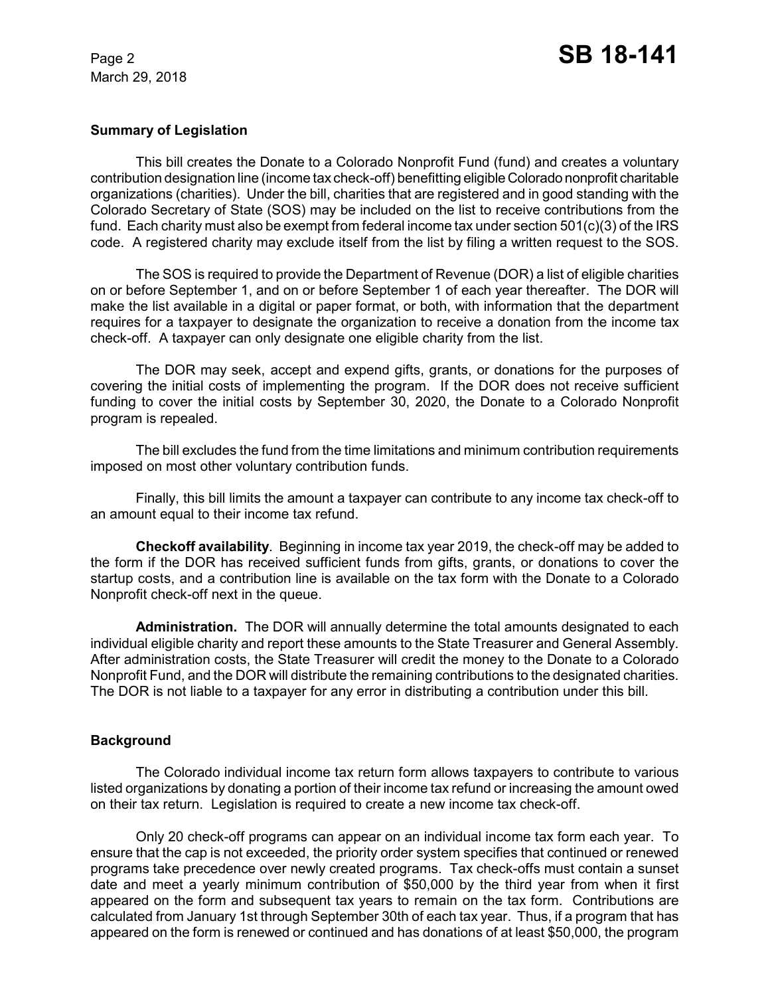March 29, 2018

### **Summary of Legislation**

This bill creates the Donate to a Colorado Nonprofit Fund (fund) and creates a voluntary contribution designation line (income tax check-off) benefitting eligible Colorado nonprofit charitable organizations (charities). Under the bill, charities that are registered and in good standing with the Colorado Secretary of State (SOS) may be included on the list to receive contributions from the fund. Each charity must also be exempt from federal income tax under section 501(c)(3) of the IRS code. A registered charity may exclude itself from the list by filing a written request to the SOS.

The SOS is required to provide the Department of Revenue (DOR) a list of eligible charities on or before September 1, and on or before September 1 of each year thereafter. The DOR will make the list available in a digital or paper format, or both, with information that the department requires for a taxpayer to designate the organization to receive a donation from the income tax check-off. A taxpayer can only designate one eligible charity from the list.

The DOR may seek, accept and expend gifts, grants, or donations for the purposes of covering the initial costs of implementing the program. If the DOR does not receive sufficient funding to cover the initial costs by September 30, 2020, the Donate to a Colorado Nonprofit program is repealed.

The bill excludes the fund from the time limitations and minimum contribution requirements imposed on most other voluntary contribution funds.

Finally, this bill limits the amount a taxpayer can contribute to any income tax check-off to an amount equal to their income tax refund.

**Checkoff availability**. Beginning in income tax year 2019, the check-off may be added to the form if the DOR has received sufficient funds from gifts, grants, or donations to cover the startup costs, and a contribution line is available on the tax form with the Donate to a Colorado Nonprofit check-off next in the queue.

**Administration.** The DOR will annually determine the total amounts designated to each individual eligible charity and report these amounts to the State Treasurer and General Assembly. After administration costs, the State Treasurer will credit the money to the Donate to a Colorado Nonprofit Fund, and the DOR will distribute the remaining contributions to the designated charities. The DOR is not liable to a taxpayer for any error in distributing a contribution under this bill.

### **Background**

The Colorado individual income tax return form allows taxpayers to contribute to various listed organizations by donating a portion of their income tax refund or increasing the amount owed on their tax return. Legislation is required to create a new income tax check-off.

Only 20 check-off programs can appear on an individual income tax form each year. To ensure that the cap is not exceeded, the priority order system specifies that continued or renewed programs take precedence over newly created programs. Tax check-offs must contain a sunset date and meet a yearly minimum contribution of \$50,000 by the third year from when it first appeared on the form and subsequent tax years to remain on the tax form. Contributions are calculated from January 1st through September 30th of each tax year. Thus, if a program that has appeared on the form is renewed or continued and has donations of at least \$50,000, the program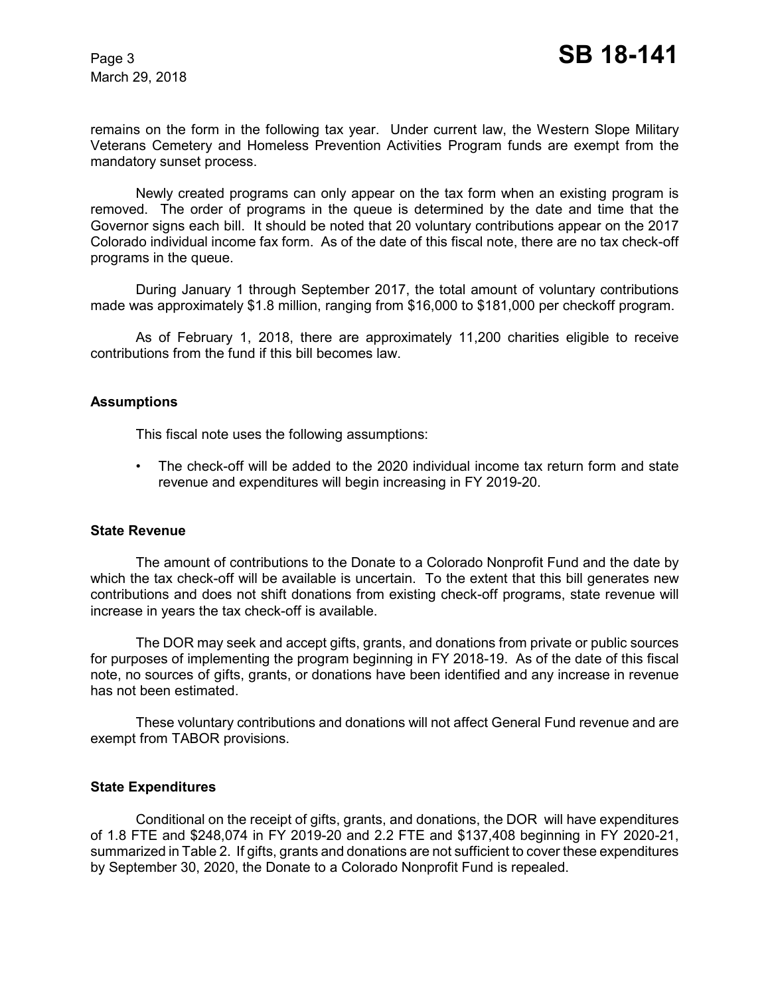March 29, 2018

remains on the form in the following tax year. Under current law, the Western Slope Military Veterans Cemetery and Homeless Prevention Activities Program funds are exempt from the mandatory sunset process.

Newly created programs can only appear on the tax form when an existing program is removed. The order of programs in the queue is determined by the date and time that the Governor signs each bill. It should be noted that 20 voluntary contributions appear on the 2017 Colorado individual income fax form. As of the date of this fiscal note, there are no tax check-off programs in the queue.

During January 1 through September 2017, the total amount of voluntary contributions made was approximately \$1.8 million, ranging from \$16,000 to \$181,000 per checkoff program.

As of February 1, 2018, there are approximately 11,200 charities eligible to receive contributions from the fund if this bill becomes law.

### **Assumptions**

This fiscal note uses the following assumptions:

• The check-off will be added to the 2020 individual income tax return form and state revenue and expenditures will begin increasing in FY 2019-20.

#### **State Revenue**

The amount of contributions to the Donate to a Colorado Nonprofit Fund and the date by which the tax check-off will be available is uncertain. To the extent that this bill generates new contributions and does not shift donations from existing check-off programs, state revenue will increase in years the tax check-off is available.

The DOR may seek and accept gifts, grants, and donations from private or public sources for purposes of implementing the program beginning in FY 2018-19. As of the date of this fiscal note, no sources of gifts, grants, or donations have been identified and any increase in revenue has not been estimated.

These voluntary contributions and donations will not affect General Fund revenue and are exempt from TABOR provisions.

#### **State Expenditures**

Conditional on the receipt of gifts, grants, and donations, the DOR will have expenditures of 1.8 FTE and \$248,074 in FY 2019-20 and 2.2 FTE and \$137,408 beginning in FY 2020-21, summarized in Table 2. If gifts, grants and donations are not sufficient to cover these expenditures by September 30, 2020, the Donate to a Colorado Nonprofit Fund is repealed.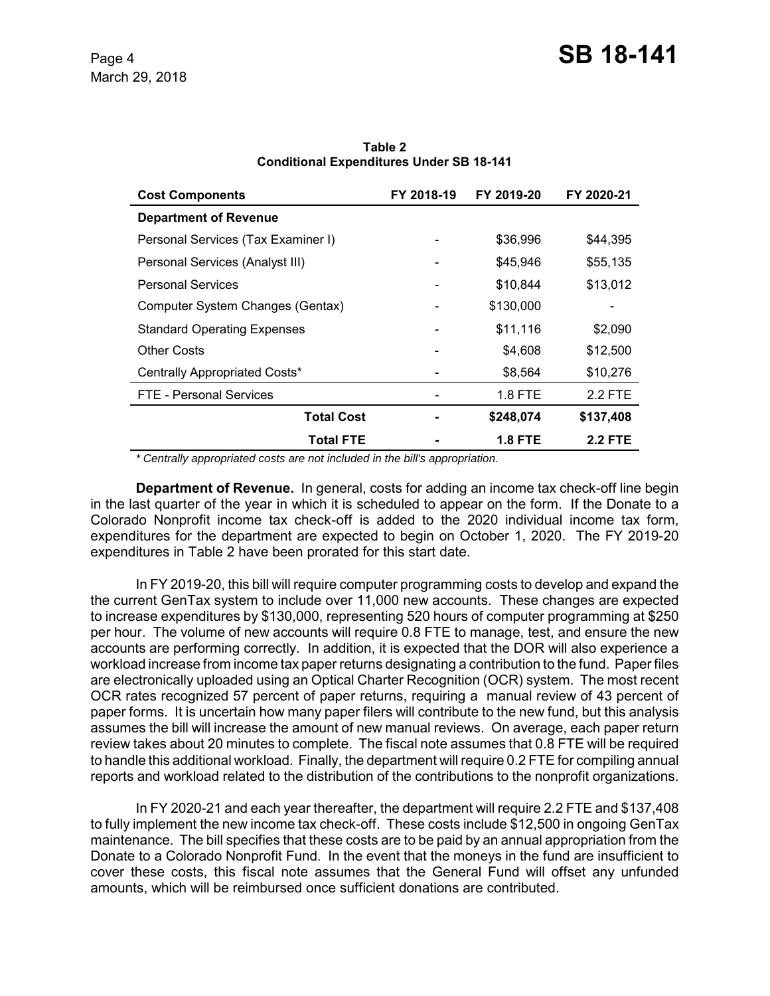| <b>Cost Components</b>             | FY 2018-19 | FY 2019-20     | FY 2020-21     |
|------------------------------------|------------|----------------|----------------|
| <b>Department of Revenue</b>       |            |                |                |
| Personal Services (Tax Examiner I) |            | \$36,996       | \$44,395       |
| Personal Services (Analyst III)    |            | \$45,946       | \$55,135       |
| <b>Personal Services</b>           |            | \$10,844       | \$13,012       |
| Computer System Changes (Gentax)   |            | \$130,000      |                |
| <b>Standard Operating Expenses</b> |            | \$11,116       | \$2,090        |
| <b>Other Costs</b>                 |            | \$4,608        | \$12,500       |
| Centrally Appropriated Costs*      |            | \$8,564        | \$10,276       |
| <b>FTE - Personal Services</b>     |            | 1.8 FTE        | 2.2 FTE        |
| <b>Total Cost</b>                  |            | \$248,074      | \$137,408      |
| <b>Total FTE</b>                   |            | <b>1.8 FTE</b> | <b>2.2 FTE</b> |

**Table 2 Conditional Expenditures Under SB 18-141**

 *\* Centrally appropriated costs are not included in the bill's appropriation.*

**Department of Revenue.** In general, costs for adding an income tax check-off line begin in the last quarter of the year in which it is scheduled to appear on the form. If the Donate to a Colorado Nonprofit income tax check-off is added to the 2020 individual income tax form, expenditures for the department are expected to begin on October 1, 2020. The FY 2019-20 expenditures in Table 2 have been prorated for this start date.

In FY 2019-20, this bill will require computer programming costs to develop and expand the the current GenTax system to include over 11,000 new accounts. These changes are expected to increase expenditures by \$130,000, representing 520 hours of computer programming at \$250 per hour. The volume of new accounts will require 0.8 FTE to manage, test, and ensure the new accounts are performing correctly. In addition, it is expected that the DOR will also experience a workload increase from income tax paper returns designating a contribution to the fund. Paper files are electronically uploaded using an Optical Charter Recognition (OCR) system. The most recent OCR rates recognized 57 percent of paper returns, requiring a manual review of 43 percent of paper forms. It is uncertain how many paper filers will contribute to the new fund, but this analysis assumes the bill will increase the amount of new manual reviews. On average, each paper return review takes about 20 minutes to complete. The fiscal note assumes that 0.8 FTE will be required to handle this additional workload. Finally, the department will require 0.2 FTE for compiling annual reports and workload related to the distribution of the contributions to the nonprofit organizations.

In FY 2020-21 and each year thereafter, the department will require 2.2 FTE and \$137,408 to fully implement the new income tax check-off. These costs include \$12,500 in ongoing GenTax maintenance. The bill specifies that these costs are to be paid by an annual appropriation from the Donate to a Colorado Nonprofit Fund. In the event that the moneys in the fund are insufficient to cover these costs, this fiscal note assumes that the General Fund will offset any unfunded amounts, which will be reimbursed once sufficient donations are contributed.